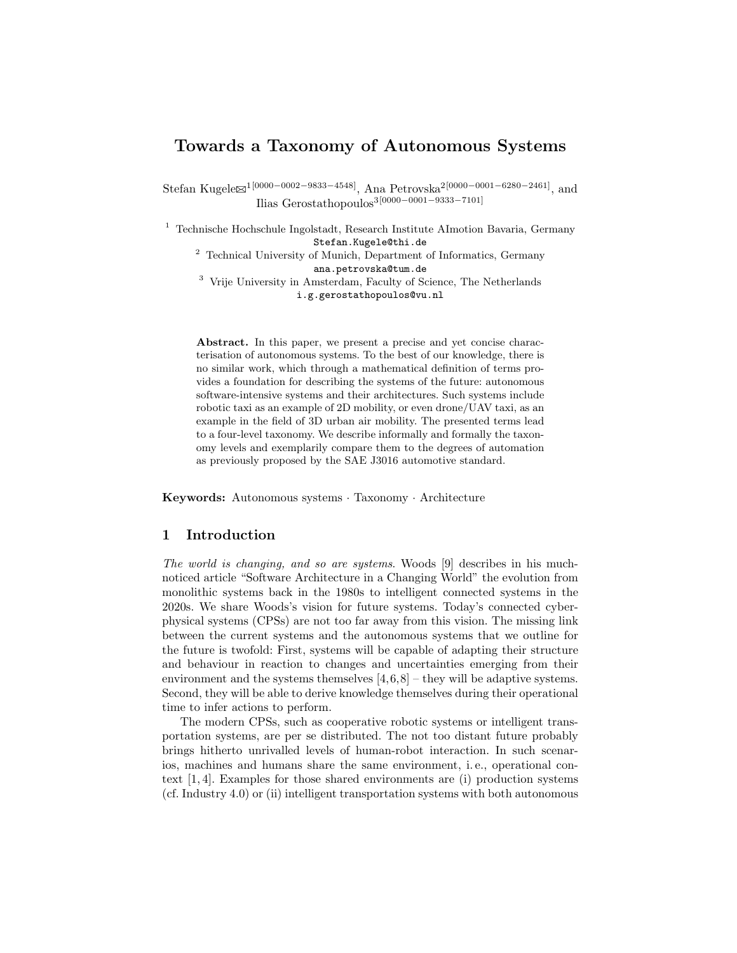# Towards a Taxonomy of Autonomous Systems

Stefan Kugele⊠<sup>1[0000–0002–9833–4548]</sup>, Ana Petrovska<sup>2[0000–0001–6280–2461]</sup>, and Ilias Gerostathopoulos3[0000−0001−9333−7101]

<sup>1</sup> Technische Hochschule Ingolstadt, Research Institute AImotion Bavaria, Germany Stefan.Kugele@thi.de

<sup>2</sup> Technical University of Munich, Department of Informatics, Germany ana.petrovska@tum.de

<sup>3</sup> Vrije University in Amsterdam, Faculty of Science, The Netherlands i.g.gerostathopoulos@vu.nl

Abstract. In this paper, we present a precise and yet concise characterisation of autonomous systems. To the best of our knowledge, there is no similar work, which through a mathematical definition of terms provides a foundation for describing the systems of the future: autonomous software-intensive systems and their architectures. Such systems include robotic taxi as an example of 2D mobility, or even drone/UAV taxi, as an example in the field of 3D urban air mobility. The presented terms lead to a four-level taxonomy. We describe informally and formally the taxonomy levels and exemplarily compare them to the degrees of automation as previously proposed by the SAE J3016 automotive standard.

Keywords: Autonomous systems · Taxonomy · Architecture

## 1 Introduction

The world is changing, and so are systems. Woods [9] describes in his muchnoticed article "Software Architecture in a Changing World" the evolution from monolithic systems back in the 1980s to intelligent connected systems in the 2020s. We share Woods's vision for future systems. Today's connected cyberphysical systems (CPSs) are not too far away from this vision. The missing link between the current systems and the autonomous systems that we outline for the future is twofold: First, systems will be capable of adapting their structure and behaviour in reaction to changes and uncertainties emerging from their environment and the systems themselves  $[4,6,8]$  – they will be adaptive systems. Second, they will be able to derive knowledge themselves during their operational time to infer actions to perform.

The modern CPSs, such as cooperative robotic systems or intelligent transportation systems, are per se distributed. The not too distant future probably brings hitherto unrivalled levels of human-robot interaction. In such scenarios, machines and humans share the same environment, i. e., operational context [1, 4]. Examples for those shared environments are (i) production systems (cf. Industry 4.0) or (ii) intelligent transportation systems with both autonomous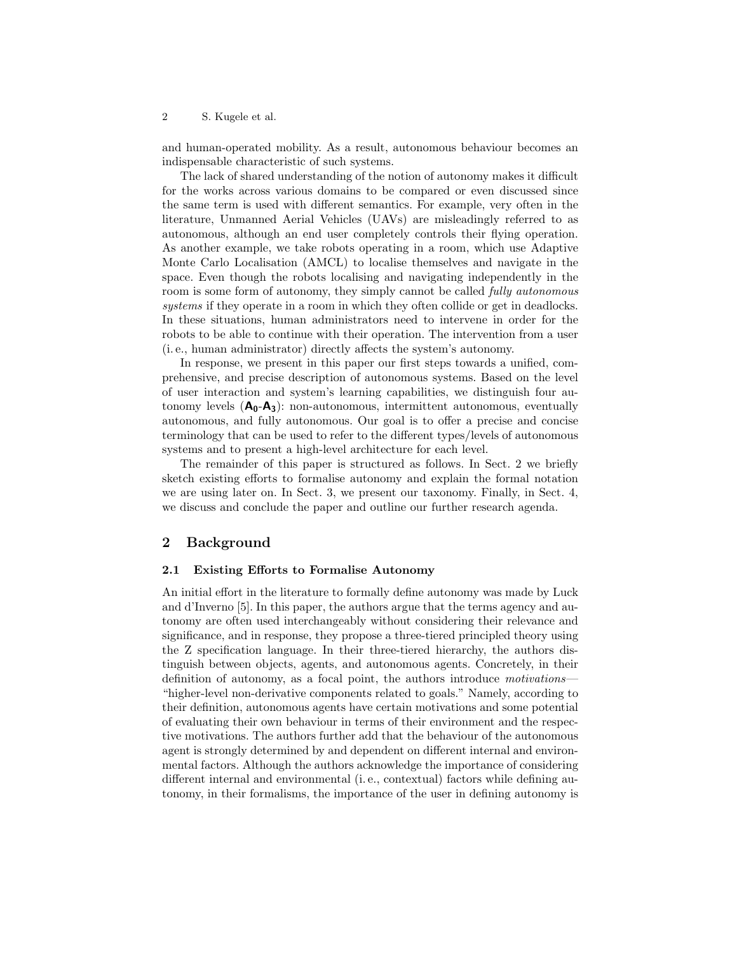#### 2 S. Kugele et al.

and human-operated mobility. As a result, autonomous behaviour becomes an indispensable characteristic of such systems.

The lack of shared understanding of the notion of autonomy makes it difficult for the works across various domains to be compared or even discussed since the same term is used with different semantics. For example, very often in the literature, Unmanned Aerial Vehicles (UAVs) are misleadingly referred to as autonomous, although an end user completely controls their flying operation. As another example, we take robots operating in a room, which use Adaptive Monte Carlo Localisation (AMCL) to localise themselves and navigate in the space. Even though the robots localising and navigating independently in the room is some form of autonomy, they simply cannot be called *fully autonomous* systems if they operate in a room in which they often collide or get in deadlocks. In these situations, human administrators need to intervene in order for the robots to be able to continue with their operation. The intervention from a user (i. e., human administrator) directly affects the system's autonomy.

In response, we present in this paper our first steps towards a unified, comprehensive, and precise description of autonomous systems. Based on the level of user interaction and system's learning capabilities, we distinguish four autonomy levels  $(A_0-A_3)$ : non-autonomous, intermittent autonomous, eventually autonomous, and fully autonomous. Our goal is to offer a precise and concise terminology that can be used to refer to the different types/levels of autonomous systems and to present a high-level architecture for each level.

The remainder of this paper is structured as follows. In Sect. 2 we briefly sketch existing efforts to formalise autonomy and explain the formal notation we are using later on. In Sect. 3, we present our taxonomy. Finally, in Sect. 4, we discuss and conclude the paper and outline our further research agenda.

## 2 Background

## 2.1 Existing Efforts to Formalise Autonomy

An initial effort in the literature to formally define autonomy was made by Luck and d'Inverno [5]. In this paper, the authors argue that the terms agency and autonomy are often used interchangeably without considering their relevance and significance, and in response, they propose a three-tiered principled theory using the Z specification language. In their three-tiered hierarchy, the authors distinguish between objects, agents, and autonomous agents. Concretely, in their definition of autonomy, as a focal point, the authors introduce motivations— "higher-level non-derivative components related to goals." Namely, according to their definition, autonomous agents have certain motivations and some potential of evaluating their own behaviour in terms of their environment and the respective motivations. The authors further add that the behaviour of the autonomous agent is strongly determined by and dependent on different internal and environmental factors. Although the authors acknowledge the importance of considering different internal and environmental (i. e., contextual) factors while defining autonomy, in their formalisms, the importance of the user in defining autonomy is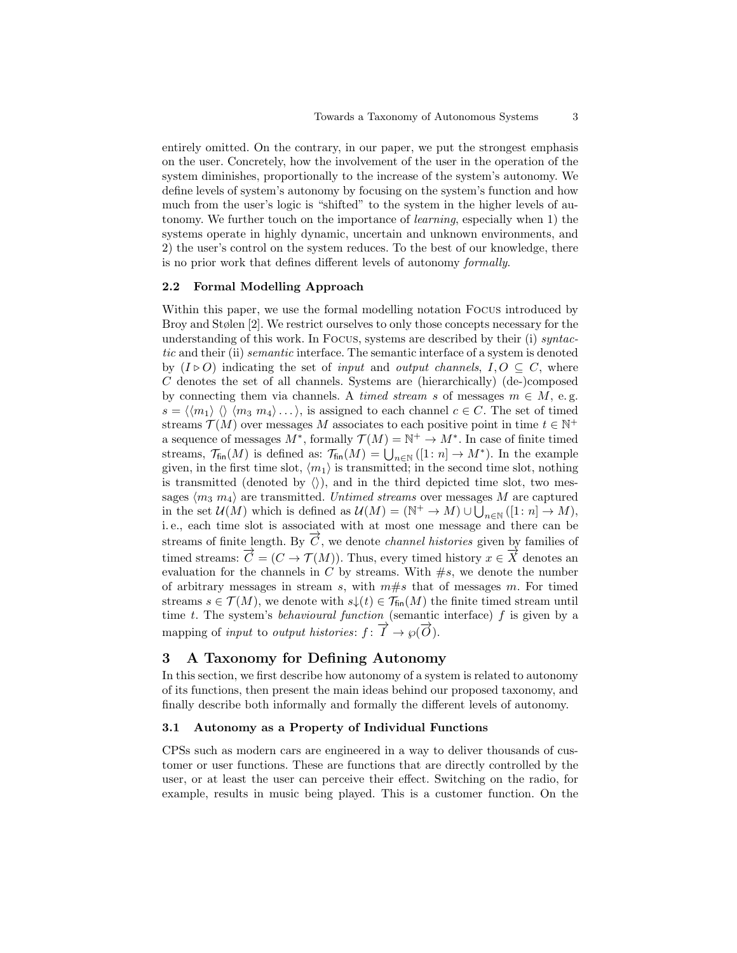entirely omitted. On the contrary, in our paper, we put the strongest emphasis on the user. Concretely, how the involvement of the user in the operation of the system diminishes, proportionally to the increase of the system's autonomy. We define levels of system's autonomy by focusing on the system's function and how much from the user's logic is "shifted" to the system in the higher levels of autonomy. We further touch on the importance of learning, especially when 1) the systems operate in highly dynamic, uncertain and unknown environments, and 2) the user's control on the system reduces. To the best of our knowledge, there is no prior work that defines different levels of autonomy formally.

## 2.2 Formal Modelling Approach

Within this paper, we use the formal modelling notation Focus introduced by Broy and Stølen [2]. We restrict ourselves to only those concepts necessary for the understanding of this work. In FOCUS, systems are described by their (i) syntactic and their (ii) semantic interface. The semantic interface of a system is denoted by  $(I \triangleright O)$  indicating the set of *input* and *output channels*,  $I, O \subseteq C$ , where  $C$  denotes the set of all channels. Systems are (hierarchically) (de-)composed by connecting them via channels. A timed stream s of messages  $m \in M$ , e.g.  $s = \langle m_1 \rangle \langle m_3 m_4 \rangle \dots \rangle$ , is assigned to each channel  $c \in C$ . The set of timed streams  $\mathcal{T}(M)$  over messages M associates to each positive point in time  $t \in \mathbb{N}^+$ a sequence of messages  $M^*$ , formally  $\mathcal{T}(M) = \mathbb{N}^+ \to M^*$ . In case of finite timed streams,  $\mathcal{T}_{fin}(M)$  is defined as:  $\mathcal{T}_{fin}(M) = \bigcup_{n \in \mathbb{N}} ([1 : n] \to M^*)$ . In the example given, in the first time slot,  $\langle m_1 \rangle$  is transmitted; in the second time slot, nothing is transmitted (denoted by  $\langle \rangle$ ), and in the third depicted time slot, two messages  $\langle m_3 m_4 \rangle$  are transmitted. Untimed streams over messages M are captured in the set  $\mathcal{U}(M)$  which is defined as  $\mathcal{U}(M) = (\mathbb{N}^+ \to M) \cup \bigcup_{n \in \mathbb{N}} ([1:n] \to M)$ , i. e., each time slot is associated with at most one message and there can be streams of finite length. By  $\vec{C}$ , we denote *channel histories* given by families of timed streams:  $\vec{C} = (C \rightarrow \mathcal{T}(M))$ . Thus, every timed history  $x \in \vec{X}$  denotes an evaluation for the channels in  $\overrightarrow{C}$  by streams. With  $\#s$ , we denote the number of arbitrary messages in stream  $s$ , with  $m \# s$  that of messages  $m$ . For timed streams  $s \in \mathcal{T}(M)$ , we denote with  $s\downarrow(t) \in \mathcal{T}_{fin}(M)$  the finite timed stream until time  $t$ . The system's *behavioural function* (semantic interface)  $f$  is given by a mapping of *input* to *output histories*:  $f: \overrightarrow{I} \rightarrow \wp(\overrightarrow{O})$ .

## 3 A Taxonomy for Defining Autonomy

In this section, we first describe how autonomy of a system is related to autonomy of its functions, then present the main ideas behind our proposed taxonomy, and finally describe both informally and formally the different levels of autonomy.

## 3.1 Autonomy as a Property of Individual Functions

CPSs such as modern cars are engineered in a way to deliver thousands of customer or user functions. These are functions that are directly controlled by the user, or at least the user can perceive their effect. Switching on the radio, for example, results in music being played. This is a customer function. On the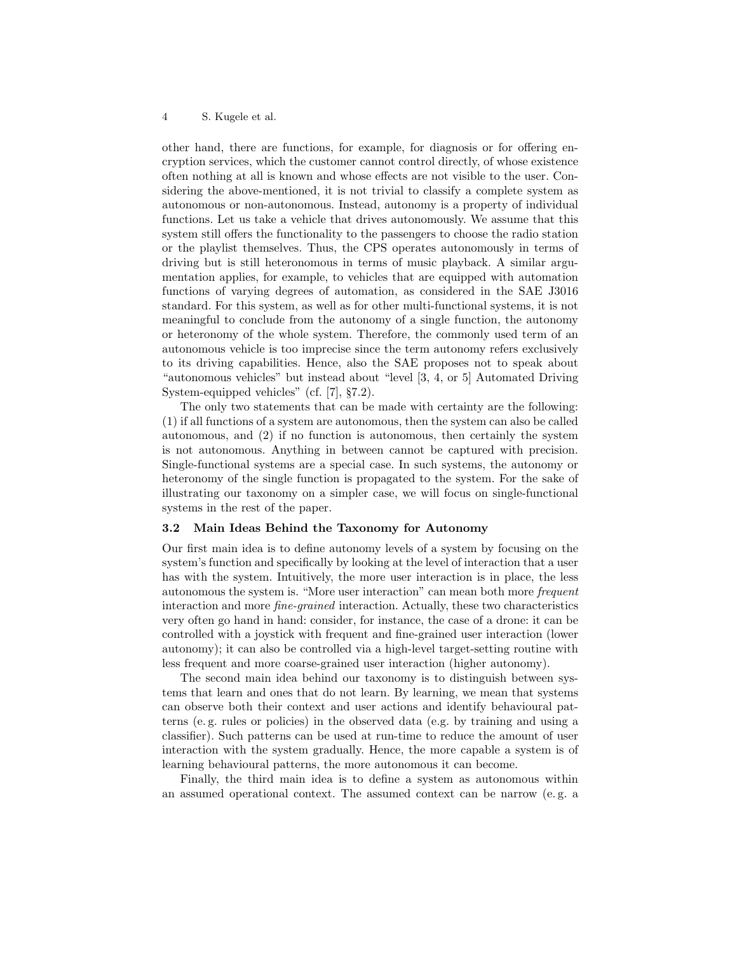#### 4 S. Kugele et al.

other hand, there are functions, for example, for diagnosis or for offering encryption services, which the customer cannot control directly, of whose existence often nothing at all is known and whose effects are not visible to the user. Considering the above-mentioned, it is not trivial to classify a complete system as autonomous or non-autonomous. Instead, autonomy is a property of individual functions. Let us take a vehicle that drives autonomously. We assume that this system still offers the functionality to the passengers to choose the radio station or the playlist themselves. Thus, the CPS operates autonomously in terms of driving but is still heteronomous in terms of music playback. A similar argumentation applies, for example, to vehicles that are equipped with automation functions of varying degrees of automation, as considered in the SAE J3016 standard. For this system, as well as for other multi-functional systems, it is not meaningful to conclude from the autonomy of a single function, the autonomy or heteronomy of the whole system. Therefore, the commonly used term of an autonomous vehicle is too imprecise since the term autonomy refers exclusively to its driving capabilities. Hence, also the SAE proposes not to speak about "autonomous vehicles" but instead about "level [3, 4, or 5] Automated Driving System-equipped vehicles" (cf. [7], §7.2).

The only two statements that can be made with certainty are the following: (1) if all functions of a system are autonomous, then the system can also be called autonomous, and (2) if no function is autonomous, then certainly the system is not autonomous. Anything in between cannot be captured with precision. Single-functional systems are a special case. In such systems, the autonomy or heteronomy of the single function is propagated to the system. For the sake of illustrating our taxonomy on a simpler case, we will focus on single-functional systems in the rest of the paper.

## 3.2 Main Ideas Behind the Taxonomy for Autonomy

Our first main idea is to define autonomy levels of a system by focusing on the system's function and specifically by looking at the level of interaction that a user has with the system. Intuitively, the more user interaction is in place, the less autonomous the system is. "More user interaction" can mean both more frequent interaction and more fine-grained interaction. Actually, these two characteristics very often go hand in hand: consider, for instance, the case of a drone: it can be controlled with a joystick with frequent and fine-grained user interaction (lower autonomy); it can also be controlled via a high-level target-setting routine with less frequent and more coarse-grained user interaction (higher autonomy).

The second main idea behind our taxonomy is to distinguish between systems that learn and ones that do not learn. By learning, we mean that systems can observe both their context and user actions and identify behavioural patterns (e. g. rules or policies) in the observed data (e.g. by training and using a classifier). Such patterns can be used at run-time to reduce the amount of user interaction with the system gradually. Hence, the more capable a system is of learning behavioural patterns, the more autonomous it can become.

Finally, the third main idea is to define a system as autonomous within an assumed operational context. The assumed context can be narrow (e. g. a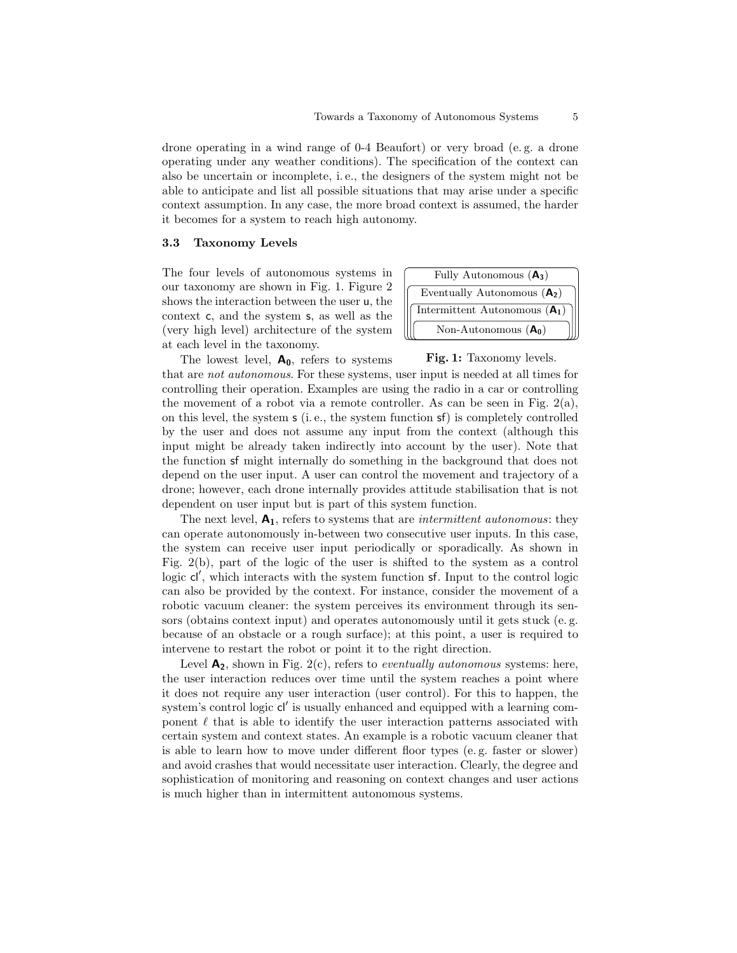drone operating in a wind range of 0-4 Beaufort) or very broad (e. g. a drone operating under any weather conditions). The specification of the context can also be uncertain or incomplete, i. e., the designers of the system might not be able to anticipate and list all possible situations that may arise under a specific context assumption. In any case, the more broad context is assumed, the harder it becomes for a system to reach high autonomy.

## 3.3 Taxonomy Levels

The four levels of autonomous systems in our taxonomy are shown in Fig. 1. Figure 2 shows the interaction between the user u, the context c, and the system s, as well as the (very high level) architecture of the system at each level in the taxonomy.

The lowest level,  $A_0$ , refers to systems

| Fully Autonomous $(A_3)$        |
|---------------------------------|
| Eventually Autonomous $(A_2)$   |
| Intermittent Autonomous $(A_1)$ |
| Non-Autonomous $(A_0)$          |

Fig. 1: Taxonomy levels.

that are not autonomous. For these systems, user input is needed at all times for controlling their operation. Examples are using the radio in a car or controlling the movement of a robot via a remote controller. As can be seen in Fig.  $2(a)$ , on this level, the system s (i. e., the system function sf) is completely controlled by the user and does not assume any input from the context (although this input might be already taken indirectly into account by the user). Note that the function sf might internally do something in the background that does not depend on the user input. A user can control the movement and trajectory of a drone; however, each drone internally provides attitude stabilisation that is not dependent on user input but is part of this system function.

The next level,  $A_1$ , refers to systems that are *intermittent autonomous*: they can operate autonomously in-between two consecutive user inputs. In this case, the system can receive user input periodically or sporadically. As shown in Fig. 2(b), part of the logic of the user is shifted to the system as a control logic  $c'$ , which interacts with the system function  $sf$ . Input to the control logic can also be provided by the context. For instance, consider the movement of a robotic vacuum cleaner: the system perceives its environment through its sensors (obtains context input) and operates autonomously until it gets stuck (e. g. because of an obstacle or a rough surface); at this point, a user is required to intervene to restart the robot or point it to the right direction.

Level  $A_2$ , shown in Fig. 2(c), refers to *eventually autonomous* systems: here, the user interaction reduces over time until the system reaches a point where it does not require any user interaction (user control). For this to happen, the system's control logic cl' is usually enhanced and equipped with a learning component  $\ell$  that is able to identify the user interaction patterns associated with certain system and context states. An example is a robotic vacuum cleaner that is able to learn how to move under different floor types (e. g. faster or slower) and avoid crashes that would necessitate user interaction. Clearly, the degree and sophistication of monitoring and reasoning on context changes and user actions is much higher than in intermittent autonomous systems.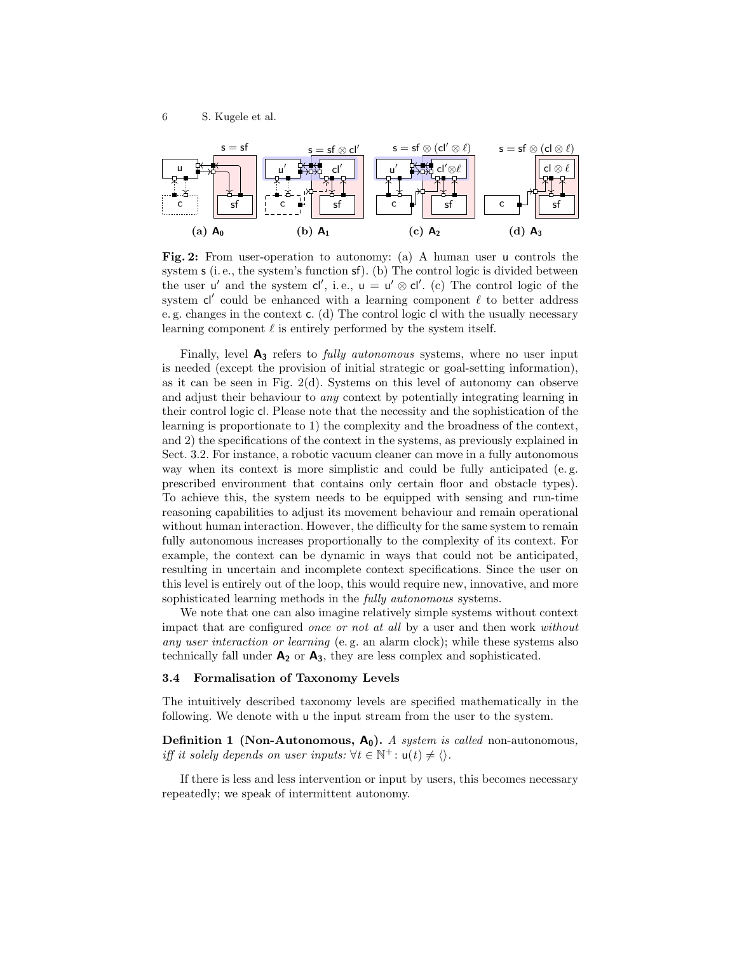

Fig. 2: From user-operation to autonomy: (a) A human user u controls the system s (i. e., the system's function sf). (b) The control logic is divided between the user  $u'$  and the system cl', i.e.,  $u = u' \otimes c'$ . (c) The control logic of the system  $c'$  could be enhanced with a learning component  $\ell$  to better address e. g. changes in the context c. (d) The control logic cl with the usually necessary learning component  $\ell$  is entirely performed by the system itself.

Finally, level  $A_3$  refers to *fully autonomous* systems, where no user input is needed (except the provision of initial strategic or goal-setting information), as it can be seen in Fig. 2(d). Systems on this level of autonomy can observe and adjust their behaviour to any context by potentially integrating learning in their control logic cl. Please note that the necessity and the sophistication of the learning is proportionate to 1) the complexity and the broadness of the context, and 2) the specifications of the context in the systems, as previously explained in Sect. 3.2. For instance, a robotic vacuum cleaner can move in a fully autonomous way when its context is more simplistic and could be fully anticipated (e. g. prescribed environment that contains only certain floor and obstacle types). To achieve this, the system needs to be equipped with sensing and run-time reasoning capabilities to adjust its movement behaviour and remain operational without human interaction. However, the difficulty for the same system to remain fully autonomous increases proportionally to the complexity of its context. For example, the context can be dynamic in ways that could not be anticipated, resulting in uncertain and incomplete context specifications. Since the user on this level is entirely out of the loop, this would require new, innovative, and more sophisticated learning methods in the *fully autonomous* systems.

We note that one can also imagine relatively simple systems without context impact that are configured once or not at all by a user and then work without any user interaction or learning (e. g. an alarm clock); while these systems also technically fall under  $A_2$  or  $A_3$ , they are less complex and sophisticated.

## 3.4 Formalisation of Taxonomy Levels

The intuitively described taxonomy levels are specified mathematically in the following. We denote with u the input stream from the user to the system.

**Definition 1** (Non-Autonomous,  $A_0$ ). A system is called non-autonomous, iff it solely depends on user inputs:  $\forall t \in \mathbb{N}^+ : u(t) \neq \langle \rangle$ .

If there is less and less intervention or input by users, this becomes necessary repeatedly; we speak of intermittent autonomy.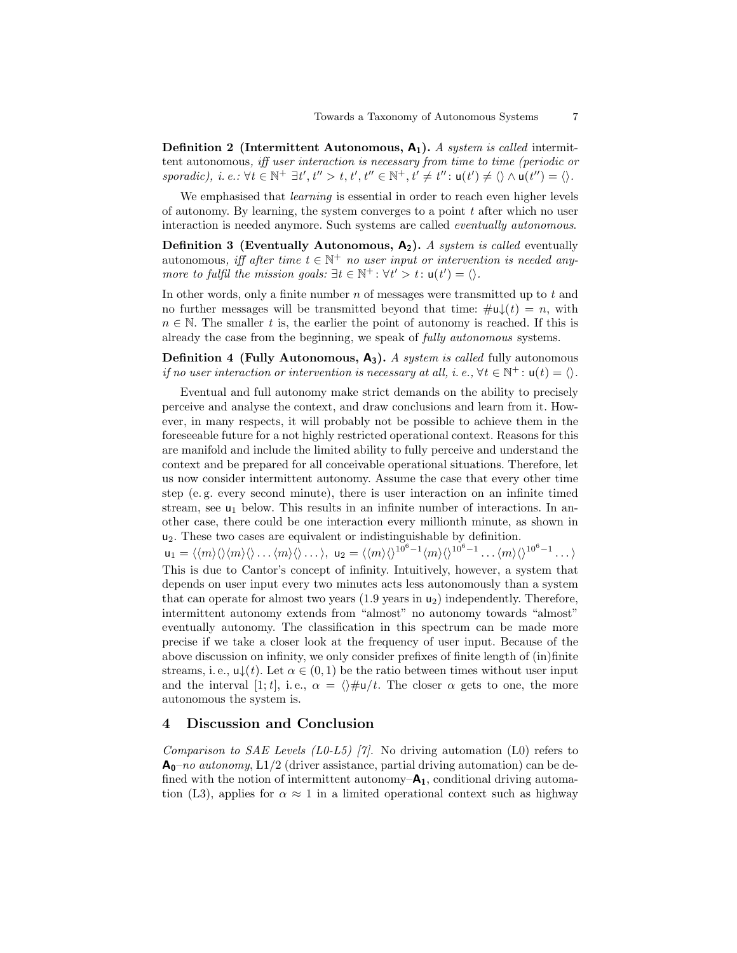**Definition 2** (Intermittent Autonomous,  $A_1$ ). A system is called intermittent autonomous, iff user interaction is necessary from time to time (periodic or sporadic), i. e.:  $\forall t \in \mathbb{N}^+ \exists t', t'' > t, t', t'' \in \mathbb{N}^+, t' \neq t'' : \mathsf{u}(t') \neq \langle \rangle \land \mathsf{u}(t'') = \langle \rangle.$ 

We emphasised that *learning* is essential in order to reach even higher levels of autonomy. By learning, the system converges to a point  $t$  after which no user interaction is needed anymore. Such systems are called eventually autonomous.

**Definition 3 (Eventually Autonomous,**  $A_2$ **).** A system is called eventually autonomous, iff after time  $t \in \mathbb{N}^+$  no user input or intervention is needed anymore to fulfil the mission goals:  $\exists t \in \mathbb{N}^+$ :  $\forall t' > t$ :  $u(t') = \langle \rangle$ .

In other words, only a finite number  $n$  of messages were transmitted up to  $t$  and no further messages will be transmitted beyond that time:  $\#\mathsf{u}\downarrow(t) = n$ , with  $n \in \mathbb{N}$ . The smaller t is, the earlier the point of autonomy is reached. If this is already the case from the beginning, we speak of fully autonomous systems.

**Definition 4 (Fully Autonomous, A<sub>3</sub>).** A system is called fully autonomous if no user interaction or intervention is necessary at all, i. e.,  $\forall t \in \mathbb{N}^+ : u(t) = \langle \rangle$ .

Eventual and full autonomy make strict demands on the ability to precisely perceive and analyse the context, and draw conclusions and learn from it. However, in many respects, it will probably not be possible to achieve them in the foreseeable future for a not highly restricted operational context. Reasons for this are manifold and include the limited ability to fully perceive and understand the context and be prepared for all conceivable operational situations. Therefore, let us now consider intermittent autonomy. Assume the case that every other time step (e. g. every second minute), there is user interaction on an infinite timed stream, see  $u_1$  below. This results in an infinite number of interactions. In another case, there could be one interaction every millionth minute, as shown in u2. These two cases are equivalent or indistinguishable by definition.

 $\mathsf{u}_1 = \langle \langle m \rangle \langle \rangle \langle m \rangle \langle \rangle \ldots \langle m \rangle \langle \rangle \ldots \rangle, \; \mathsf{u}_2 = \langle \langle m \rangle \langle \rangle^{10^6-1} \langle m \rangle \langle \rangle^{10^6-1} \ldots \langle m \rangle \langle \rangle^{10^6-1} \ldots \rangle$ This is due to Cantor's concept of infinity. Intuitively, however, a system that depends on user input every two minutes acts less autonomously than a system that can operate for almost two years  $(1.9 \text{ years in } u_2)$  independently. Therefore, intermittent autonomy extends from "almost" no autonomy towards "almost" eventually autonomy. The classification in this spectrum can be made more precise if we take a closer look at the frequency of user input. Because of the above discussion on infinity, we only consider prefixes of finite length of (in)finite streams, i. e.,  $\mathfrak{u}\downarrow(t)$ . Let  $\alpha \in (0,1)$  be the ratio between times without user input and the interval [1; t], i.e.,  $\alpha = \langle \rangle \#u/t$ . The closer  $\alpha$  gets to one, the more autonomous the system is.

## 4 Discussion and Conclusion

Comparison to SAE Levels (L0-L5) [7]. No driving automation (L0) refers to  $A_0$ –no autonomy, L1/2 (driver assistance, partial driving automation) can be defined with the notion of intermittent autonomy– $A_1$ , conditional driving automation (L3), applies for  $\alpha \approx 1$  in a limited operational context such as highway